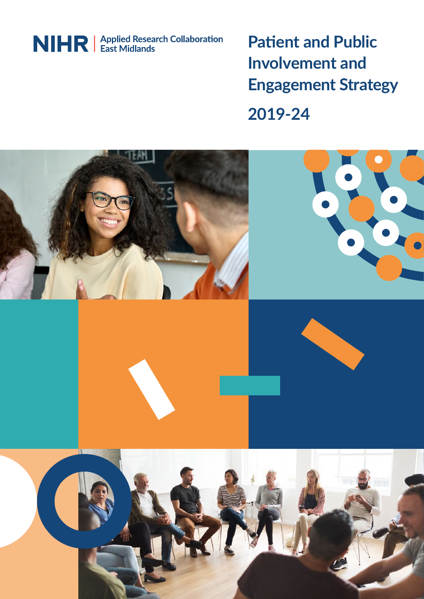

**Patient and Public Involvement and Engagement Strategy**

**2019-24**

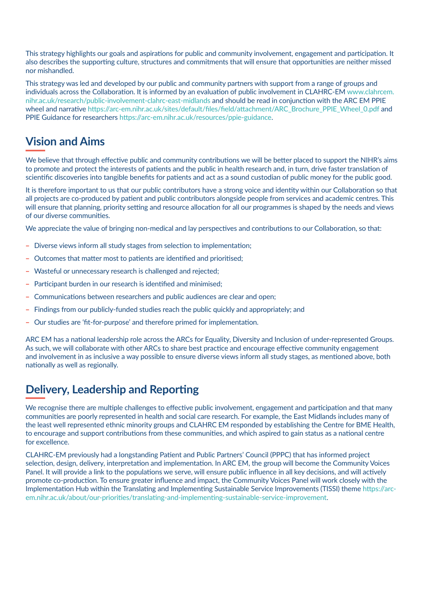This strategy highlights our goals and aspirations for public and community involvement, engagement and participation. It also describes the supporting culture, structures and commitments that will ensure that opportunities are neither missed nor mishandled.

This strategy was led and developed by our public and community partners with support from a range of groups and individuals across the Collaboration. It is informed by an evaluation of public involvement in CLAHRC-EM [www.clahrcem.](http://www.clahrcem.nihr.ac.uk/research/public-involvement-clahrc-east-midlands) [nihr.ac.uk/research/public-involvement-clahrc-east-midlands](http://www.clahrcem.nihr.ac.uk/research/public-involvement-clahrc-east-midlands) and should be read in conjunction with the ARC EM PPIE wheel and narrative [https://arc-em.nihr.ac.uk/sites/default/files/field/attachment/ARC\\_Brochure\\_PPIE\\_Wheel\\_0.pdf](https://arc-em.nihr.ac.uk/sites/default/files/field/attachment/ARC_Brochure_PPIE_Wheel_0.pdf) and PPIE Guidance for researchers <https://arc-em.nihr.ac.uk/resources/ppie-guidance>.

## **Vision and Aims**

We believe that through effective public and community contributions we will be better placed to support the NIHR's aims to promote and protect the interests of patients and the public in health research and, in turn, drive faster translation of scientific discoveries into tangible benefits for patients and act as a sound custodian of public money for the public good.

It is therefore important to us that our public contributors have a strong voice and identity within our Collaboration so that all projects are co-produced by patient and public contributors alongside people from services and academic centres. This will ensure that planning, priority setting and resource allocation for all our programmes is shaped by the needs and views of our diverse communities.

We appreciate the value of bringing non-medical and lay perspectives and contributions to our Collaboration, so that:

- Diverse views inform all study stages from selection to implementation:
- Outcomes that matter most to patients are identified and prioritised;
- Wasteful or unnecessary research is challenged and rejected;
- Participant burden in our research is identified and minimised:
- Communications between researchers and public audiences are clear and open:
- ҽ Findings from our publicly-funded studies reach the public quickly and appropriately; and
- Our studies are 'fit-for-purpose' and therefore primed for implementation.

ARC EM has a national leadership role across the ARCs for Equality, Diversity and Inclusion of under-represented Groups. As such, we will collaborate with other ARCs to share best practice and encourage effective community engagement and involvement in as inclusive a way possible to ensure diverse views inform all study stages, as mentioned above, both nationally as well as regionally.

## **Delivery, Leadership and Reporting**

We recognise there are multiple challenges to effective public involvement, engagement and participation and that many communities are poorly represented in health and social care research. For example, the East Midlands includes many of the least well represented ethnic minority groups and CLAHRC EM responded by establishing the Centre for BME Health, to encourage and support contributions from these communities, and which aspired to gain status as a national centre for excellence.

CLAHRC-EM previously had a longstanding Patient and Public Partners' Council (PPPC) that has informed project selection, design, delivery, interpretation and implementation. In ARC EM, the group will become the Community Voices Panel. It will provide a link to the populations we serve, will ensure public influence in all key decisions, and will actively promote co-production. To ensure greater influence and impact, the Community Voices Panel will work closely with the Implementation Hub within the Translating and Implementing Sustainable Service Improvements (TISSI) theme [https://arc](https://arc-em.nihr.ac.uk/about/our-priorities/translating-and-implementing-sustainable-service-improvement)[em.nihr.ac.uk/about/our-priorities/translating-and-implementing-sustainable-service-improvement.](https://arc-em.nihr.ac.uk/about/our-priorities/translating-and-implementing-sustainable-service-improvement)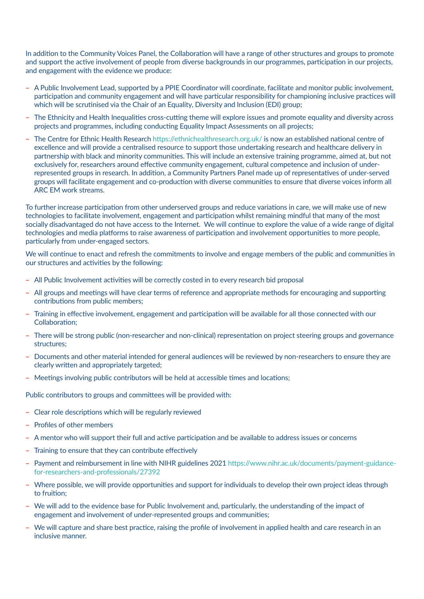In addition to the Community Voices Panel, the Collaboration will have a range of other structures and groups to promote and support the active involvement of people from diverse backgrounds in our programmes, participation in our projects, and engagement with the evidence we produce:

- A Public Involvement Lead, supported by a PPIE Coordinator will coordinate, facilitate and monitor public involvement, participation and community engagement and will have particular responsibility for championing inclusive practices will which will be scrutinised via the Chair of an Equality, Diversity and Inclusion (EDI) group;
- ҽ The Ethnicity and Health Inequalities cross-cutting theme will explore issues and promote equality and diversity across projects and programmes, including conducting Equality Impact Assessments on all projects;
- The Centre for Ethnic Health Research <https://ethnichealthresearch.org.uk/> is now an established national centre of excellence and will provide a centralised resource to support those undertaking research and healthcare delivery in partnership with black and minority communities. This will include an extensive training programme, aimed at, but not exclusively for, researchers around effective community engagement, cultural competence and inclusion of underrepresented groups in research. In addition, a Community Partners Panel made up of representatives of under-served groups will facilitate engagement and co-production with diverse communities to ensure that diverse voices inform all ARC EM work streams.

To further increase participation from other underserved groups and reduce variations in care, we will make use of new technologies to facilitate involvement, engagement and participation whilst remaining mindful that many of the most socially disadvantaged do not have access to the Internet. We will continue to explore the value of a wide range of digital technologies and media platforms to raise awareness of participation and involvement opportunities to more people, particularly from under-engaged sectors.

We will continue to enact and refresh the commitments to involve and engage members of the public and communities in our structures and activities by the following:

- All Public Involvement activities will be correctly costed in to every research bid proposal
- ҽ All groups and meetings will have clear terms of reference and appropriate methods for encouraging and supporting contributions from public members;
- Training in effective involvement, engagement and participation will be available for all those connected with our Collaboration;
- ҽ There will be strong public (non-researcher and non-clinical) representation on project steering groups and governance structures;
- Documents and other material intended for general audiences will be reviewed by non-researchers to ensure they are clearly written and appropriately targeted;
- Meetings involving public contributors will be held at accessible times and locations;

Public contributors to groups and committees will be provided with:

- Clear role descriptions which will be regularly reviewed
- Profiles of other members
- A mentor who will support their full and active participation and be available to address issues or concerns
- Training to ensure that they can contribute effectively
- Payment and reimbursement in line with NIHR guidelines 2021 [https://www.nihr.ac.uk/documents/payment-guidance](https://www.nihr.ac.uk/documents/payment-guidance-for-researchers-and-professionals/27392)[for-researchers-and-professionals/27392](https://www.nihr.ac.uk/documents/payment-guidance-for-researchers-and-professionals/27392)
- Where possible, we will provide opportunities and support for individuals to develop their own project ideas through to fruition;
- We will add to the evidence base for Public Involvement and, particularly, the understanding of the impact of engagement and involvement of under-represented groups and communities;
- We will capture and share best practice, raising the profile of involvement in applied health and care research in an inclusive manner.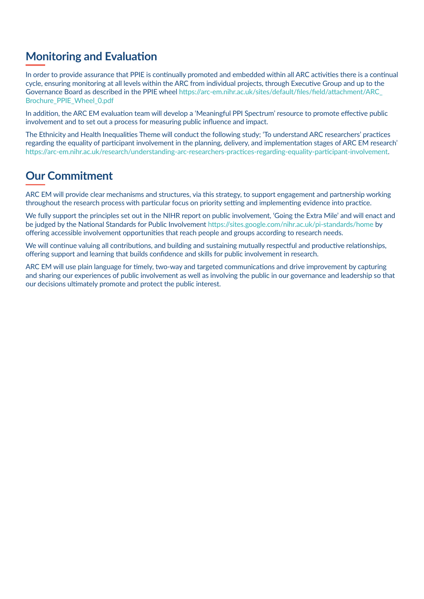## **Monitoring and Evaluation**

In order to provide assurance that PPIE is continually promoted and embedded within all ARC activities there is a continual cycle, ensuring monitoring at all levels within the ARC from individual projects, through Executive Group and up to the Governance Board as described in the PPIE wheel [https://arc-em.nihr.ac.uk/sites/default/files/field/attachment/ARC\\_](https://arc-em.nihr.ac.uk/sites/default/files/field/attachment/ARC_Brochure_PPIE_Wheel_0.pdf) [Brochure\\_PPIE\\_Wheel\\_0.pdf](https://arc-em.nihr.ac.uk/sites/default/files/field/attachment/ARC_Brochure_PPIE_Wheel_0.pdf)

In addition, the ARC EM evaluation team will develop a 'Meaningful PPI Spectrum' resource to promote effective public involvement and to set out a process for measuring public influence and impact.

The Ethnicity and Health Inequalities Theme will conduct the following study; 'To understand ARC researchers' practices regarding the equality of participant involvement in the planning, delivery, and implementation stages of ARC EM research' [https://arc-em.nihr.ac.uk/research/understanding-arc-researchers-practices-regarding-equality-participant-involvement.](https://arc-em.nihr.ac.uk/research/understanding-arc-researchers-practices-regarding-equality-participant-involvement)

## **Our Commitment**

ARC EM will provide clear mechanisms and structures, via this strategy, to support engagement and partnership working throughout the research process with particular focus on priority setting and implementing evidence into practice.

We fully support the principles set out in the NIHR report on public involvement, 'Going the Extra Mile' and will enact and be judged by the National Standards for Public Involvement<https://sites.google.com/nihr.ac.uk/pi-standards/home> by offering accessible involvement opportunities that reach people and groups according to research needs.

We will continue valuing all contributions, and building and sustaining mutually respectful and productive relationships, offering support and learning that builds confidence and skills for public involvement in research.

ARC EM will use plain language for timely, two-way and targeted communications and drive improvement by capturing and sharing our experiences of public involvement as well as involving the public in our governance and leadership so that our decisions ultimately promote and protect the public interest.